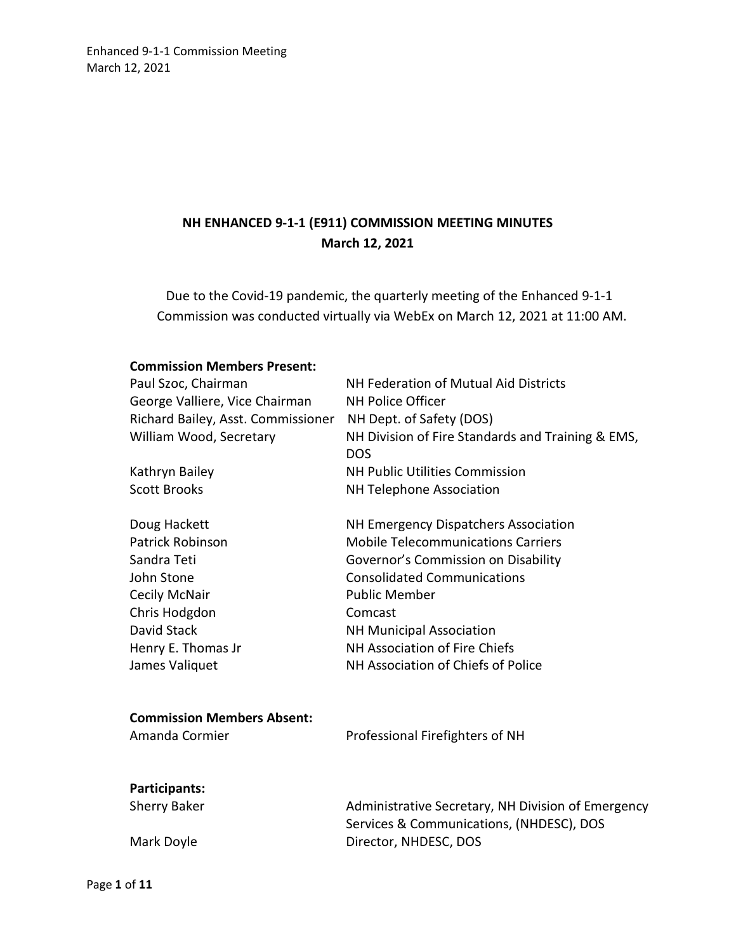# **NH ENHANCED 9-1-1 (E911) COMMISSION MEETING MINUTES March 12, 2021**

Due to the Covid-19 pandemic, the quarterly meeting of the Enhanced 9-1-1 Commission was conducted virtually via WebEx on March 12, 2021 at 11:00 AM.

#### **Commission Members Present:**

| Paul Szoc, Chairman<br>George Valliere, Vice Chairman<br>Richard Bailey, Asst. Commissioner<br>William Wood, Secretary<br>Kathryn Bailey                      | NH Federation of Mutual Aid Districts<br><b>NH Police Officer</b><br>NH Dept. of Safety (DOS)<br>NH Division of Fire Standards and Training & EMS,<br><b>DOS</b><br>NH Public Utilities Commission                                                                                                          |
|---------------------------------------------------------------------------------------------------------------------------------------------------------------|-------------------------------------------------------------------------------------------------------------------------------------------------------------------------------------------------------------------------------------------------------------------------------------------------------------|
| <b>Scott Brooks</b>                                                                                                                                           | <b>NH Telephone Association</b>                                                                                                                                                                                                                                                                             |
| Doug Hackett<br><b>Patrick Robinson</b><br>Sandra Teti<br>John Stone<br>Cecily McNair<br>Chris Hodgdon<br>David Stack<br>Henry E. Thomas Jr<br>James Valiquet | NH Emergency Dispatchers Association<br><b>Mobile Telecommunications Carriers</b><br>Governor's Commission on Disability<br><b>Consolidated Communications</b><br><b>Public Member</b><br>Comcast<br><b>NH Municipal Association</b><br>NH Association of Fire Chiefs<br>NH Association of Chiefs of Police |
| <b>Commission Members Absent:</b>                                                                                                                             |                                                                                                                                                                                                                                                                                                             |
| Amanda Cormier                                                                                                                                                | Professional Firefighters of NH                                                                                                                                                                                                                                                                             |
| Participants:                                                                                                                                                 |                                                                                                                                                                                                                                                                                                             |
| <b>Sherry Baker</b>                                                                                                                                           | Administrative Secretary, NH Division of Emergency<br>Services & Communications, (NHDESC), DOS                                                                                                                                                                                                              |
| Mark Doyle                                                                                                                                                    | Director, NHDESC, DOS                                                                                                                                                                                                                                                                                       |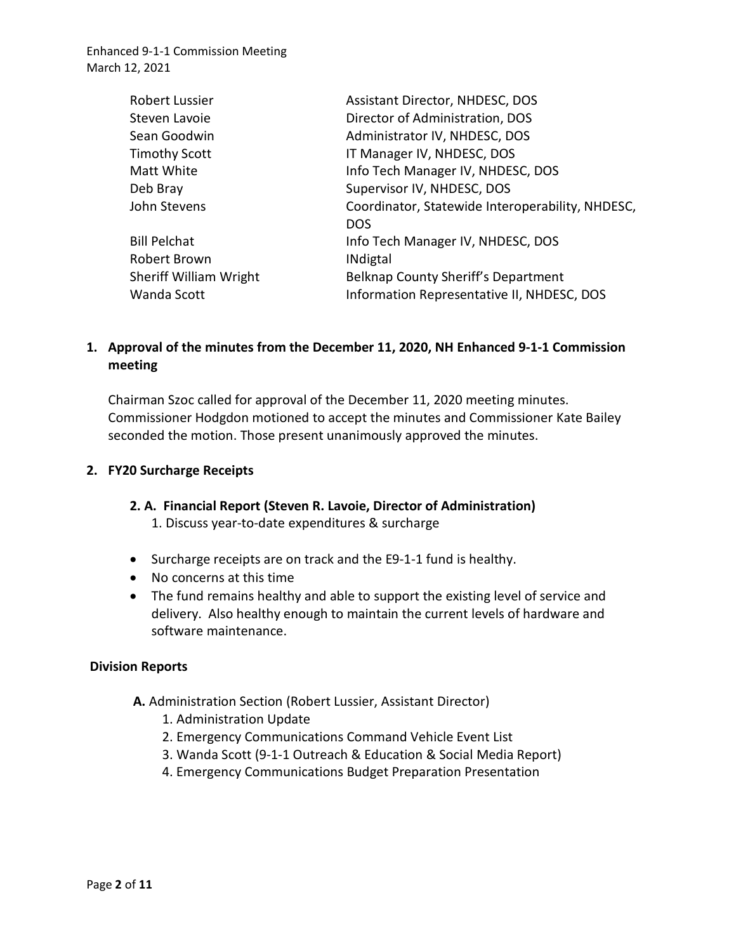| <b>Robert Lussier</b>         | Assistant Director, NHDESC, DOS                  |
|-------------------------------|--------------------------------------------------|
| Steven Lavoie                 | Director of Administration, DOS                  |
| Sean Goodwin                  | Administrator IV, NHDESC, DOS                    |
| <b>Timothy Scott</b>          | IT Manager IV, NHDESC, DOS                       |
| Matt White                    | Info Tech Manager IV, NHDESC, DOS                |
| Deb Bray                      | Supervisor IV, NHDESC, DOS                       |
| John Stevens                  | Coordinator, Statewide Interoperability, NHDESC, |
|                               | <b>DOS</b>                                       |
| <b>Bill Pelchat</b>           | Info Tech Manager IV, NHDESC, DOS                |
| Robert Brown                  | <b>INdigtal</b>                                  |
| <b>Sheriff William Wright</b> | Belknap County Sheriff's Department              |
| Wanda Scott                   | Information Representative II, NHDESC, DOS       |

# **1. Approval of the minutes from the December 11, 2020, NH Enhanced 9-1-1 Commission meeting**

Chairman Szoc called for approval of the December 11, 2020 meeting minutes. Commissioner Hodgdon motioned to accept the minutes and Commissioner Kate Bailey seconded the motion. Those present unanimously approved the minutes.

#### **2. FY20 Surcharge Receipts**

#### **2. A. Financial Report (Steven R. Lavoie, Director of Administration)**

1. Discuss year-to-date expenditures & surcharge

- Surcharge receipts are on track and the E9-1-1 fund is healthy.
- No concerns at this time
- The fund remains healthy and able to support the existing level of service and delivery. Also healthy enough to maintain the current levels of hardware and software maintenance.

#### **Division Reports**

- **A.** Administration Section (Robert Lussier, Assistant Director)
	- 1. Administration Update
	- 2. Emergency Communications Command Vehicle Event List
	- 3. Wanda Scott (9-1-1 Outreach & Education & Social Media Report)
	- 4. Emergency Communications Budget Preparation Presentation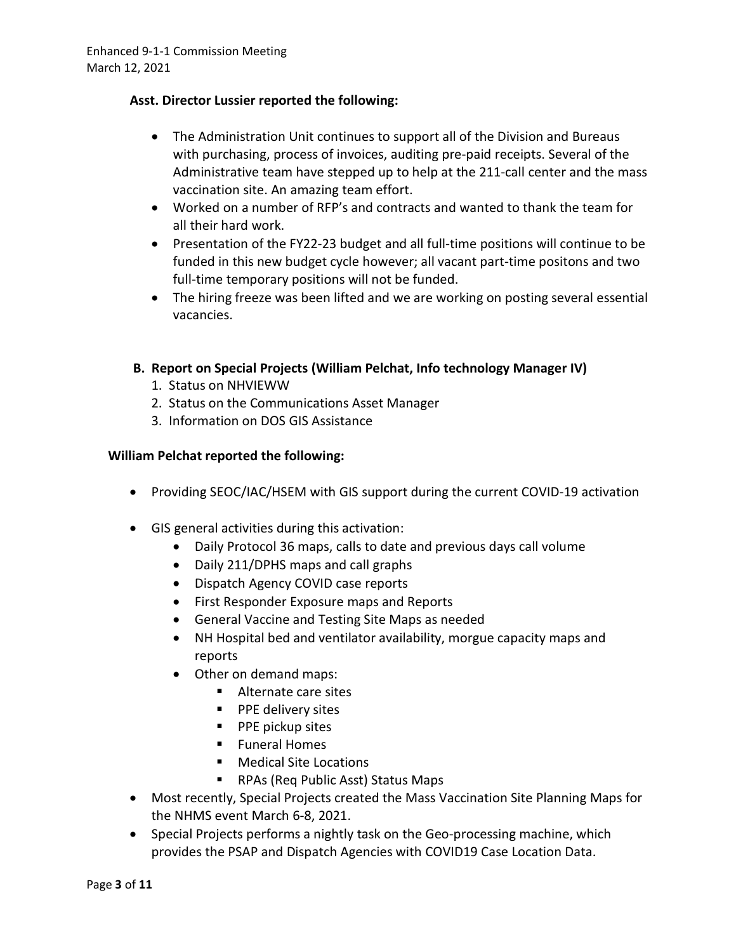### **Asst. Director Lussier reported the following:**

- The Administration Unit continues to support all of the Division and Bureaus with purchasing, process of invoices, auditing pre-paid receipts. Several of the Administrative team have stepped up to help at the 211-call center and the mass vaccination site. An amazing team effort.
- Worked on a number of RFP's and contracts and wanted to thank the team for all their hard work.
- Presentation of the FY22-23 budget and all full-time positions will continue to be funded in this new budget cycle however; all vacant part-time positons and two full-time temporary positions will not be funded.
- The hiring freeze was been lifted and we are working on posting several essential vacancies.
- **B. Report on Special Projects (William Pelchat, Info technology Manager IV)**
	- 1. Status on NHVIEWW
	- 2. Status on the Communications Asset Manager
	- 3. Information on DOS GIS Assistance

### **William Pelchat reported the following:**

- Providing SEOC/IAC/HSEM with GIS support during the current COVID-19 activation
- GIS general activities during this activation:
	- Daily Protocol 36 maps, calls to date and previous days call volume
	- Daily 211/DPHS maps and call graphs
	- Dispatch Agency COVID case reports
	- First Responder Exposure maps and Reports
	- General Vaccine and Testing Site Maps as needed
	- NH Hospital bed and ventilator availability, morgue capacity maps and reports
	- Other on demand maps:
		- Alternate care sites
		- **PPE delivery sites**
		- **PPE pickup sites**
		- **Funeral Homes**
		- **Medical Site Locations**
		- RPAs (Req Public Asst) Status Maps
- Most recently, Special Projects created the Mass Vaccination Site Planning Maps for the NHMS event March 6-8, 2021.
- Special Projects performs a nightly task on the Geo-processing machine, which provides the PSAP and Dispatch Agencies with COVID19 Case Location Data.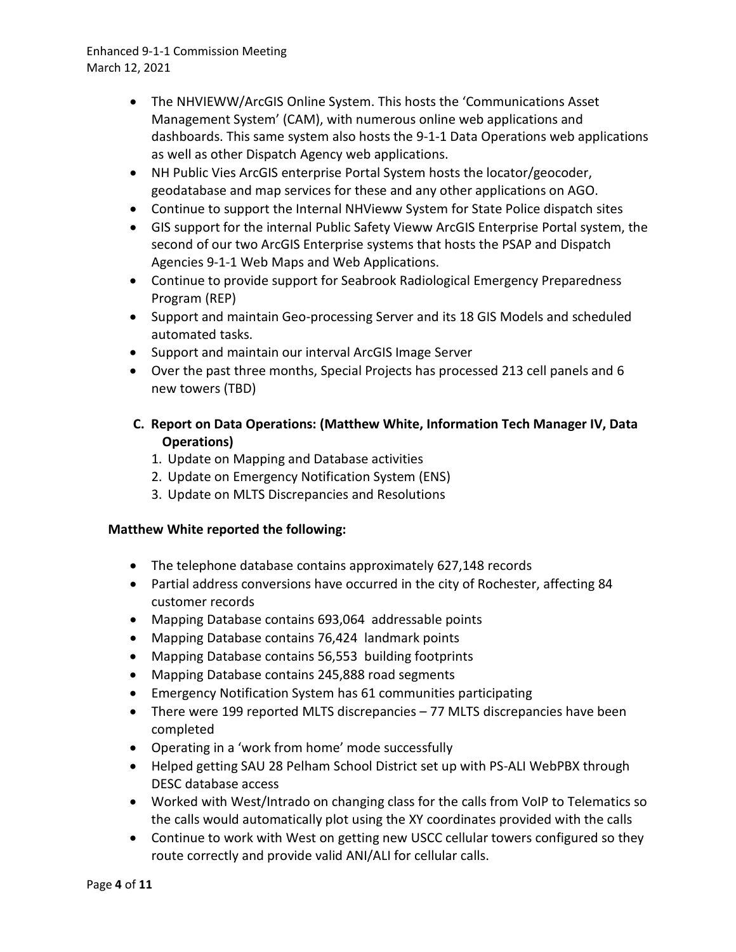- The NHVIEWW/ArcGIS Online System. This hosts the 'Communications Asset Management System' (CAM), with numerous online web applications and dashboards. This same system also hosts the 9-1-1 Data Operations web applications as well as other Dispatch Agency web applications.
- NH Public Vies ArcGIS enterprise Portal System hosts the locator/geocoder, geodatabase and map services for these and any other applications on AGO.
- Continue to support the Internal NHVieww System for State Police dispatch sites
- GIS support for the internal Public Safety Vieww ArcGIS Enterprise Portal system, the second of our two ArcGIS Enterprise systems that hosts the PSAP and Dispatch Agencies 9-1-1 Web Maps and Web Applications.
- Continue to provide support for Seabrook Radiological Emergency Preparedness Program (REP)
- Support and maintain Geo-processing Server and its 18 GIS Models and scheduled automated tasks.
- Support and maintain our interval ArcGIS Image Server
- Over the past three months, Special Projects has processed 213 cell panels and 6 new towers (TBD)
- **C. Report on Data Operations: (Matthew White, Information Tech Manager IV, Data Operations)** 
	- 1. Update on Mapping and Database activities
	- 2. Update on Emergency Notification System (ENS)
	- 3. Update on MLTS Discrepancies and Resolutions

### **Matthew White reported the following:**

- The telephone database contains approximately 627,148 records
- Partial address conversions have occurred in the city of Rochester, affecting 84 customer records
- Mapping Database contains 693,064 addressable points
- Mapping Database contains 76,424 landmark points
- Mapping Database contains 56,553 building footprints
- Mapping Database contains 245,888 road segments
- Emergency Notification System has 61 communities participating
- There were 199 reported MLTS discrepancies 77 MLTS discrepancies have been completed
- Operating in a 'work from home' mode successfully
- Helped getting SAU 28 Pelham School District set up with PS-ALI WebPBX through DESC database access
- Worked with West/Intrado on changing class for the calls from VoIP to Telematics so the calls would automatically plot using the XY coordinates provided with the calls
- Continue to work with West on getting new USCC cellular towers configured so they route correctly and provide valid ANI/ALI for cellular calls.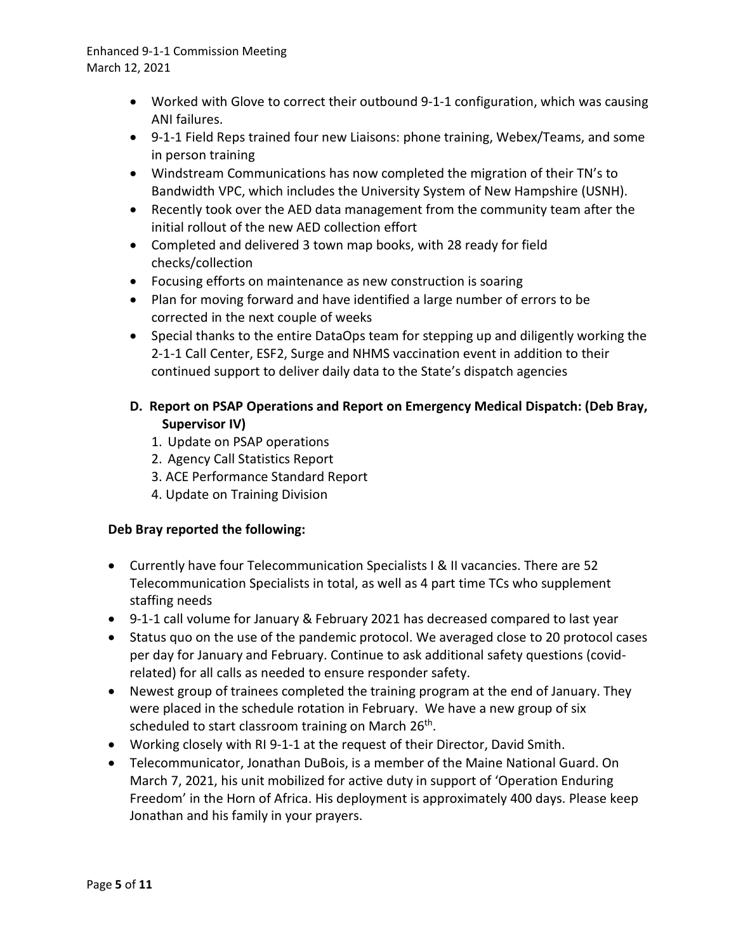- Worked with Glove to correct their outbound 9-1-1 configuration, which was causing ANI failures.
- 9-1-1 Field Reps trained four new Liaisons: phone training, Webex/Teams, and some in person training
- Windstream Communications has now completed the migration of their TN's to Bandwidth VPC, which includes the University System of New Hampshire (USNH).
- Recently took over the AED data management from the community team after the initial rollout of the new AED collection effort
- Completed and delivered 3 town map books, with 28 ready for field checks/collection
- Focusing efforts on maintenance as new construction is soaring
- Plan for moving forward and have identified a large number of errors to be corrected in the next couple of weeks
- Special thanks to the entire DataOps team for stepping up and diligently working the 2-1-1 Call Center, ESF2, Surge and NHMS vaccination event in addition to their continued support to deliver daily data to the State's dispatch agencies

# **D. Report on PSAP Operations and Report on Emergency Medical Dispatch: (Deb Bray, Supervisor IV)**

- 1. Update on PSAP operations
- 2. Agency Call Statistics Report
- 3. ACE Performance Standard Report
- 4. Update on Training Division

## **Deb Bray reported the following:**

- Currently have four Telecommunication Specialists I & II vacancies. There are 52 Telecommunication Specialists in total, as well as 4 part time TCs who supplement staffing needs
- 9-1-1 call volume for January & February 2021 has decreased compared to last year
- Status quo on the use of the pandemic protocol. We averaged close to 20 protocol cases per day for January and February. Continue to ask additional safety questions (covidrelated) for all calls as needed to ensure responder safety.
- Newest group of trainees completed the training program at the end of January. They were placed in the schedule rotation in February. We have a new group of six scheduled to start classroom training on March 26<sup>th</sup>.
- Working closely with RI 9-1-1 at the request of their Director, David Smith.
- Telecommunicator, Jonathan DuBois, is a member of the Maine National Guard. On March 7, 2021, his unit mobilized for active duty in support of 'Operation Enduring Freedom' in the Horn of Africa. His deployment is approximately 400 days. Please keep Jonathan and his family in your prayers.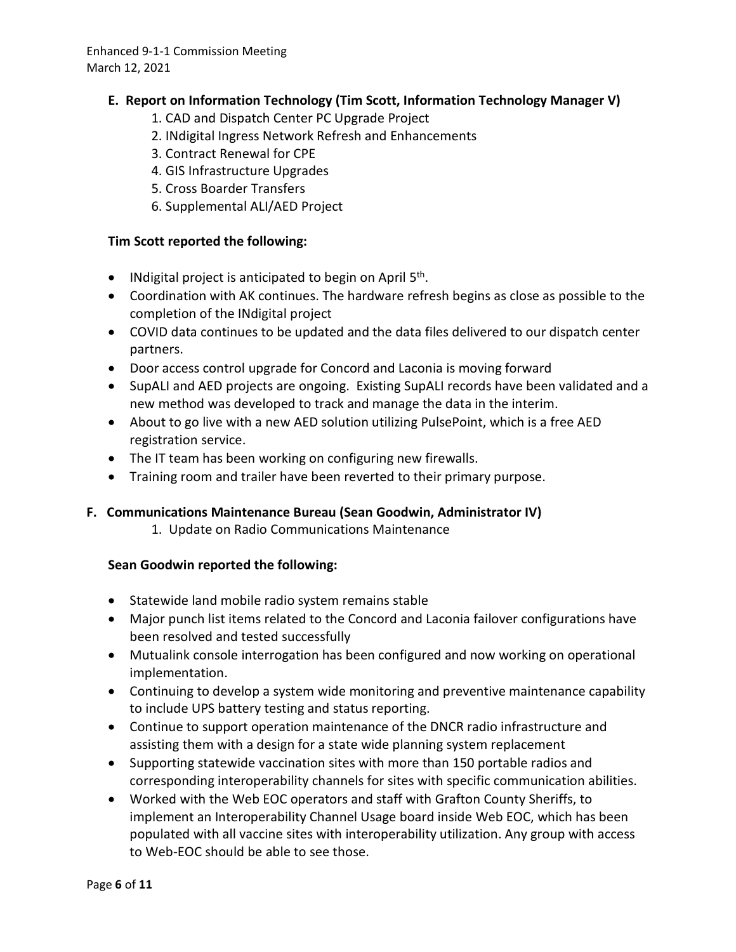## **E. Report on Information Technology (Tim Scott, Information Technology Manager V)**

- 1. CAD and Dispatch Center PC Upgrade Project
- 2. INdigital Ingress Network Refresh and Enhancements
- 3. Contract Renewal for CPE
- 4. GIS Infrastructure Upgrades
- 5. Cross Boarder Transfers
- 6. Supplemental ALI/AED Project

### **Tim Scott reported the following:**

- INdigital project is anticipated to begin on April  $5<sup>th</sup>$ .
- Coordination with AK continues. The hardware refresh begins as close as possible to the completion of the INdigital project
- COVID data continues to be updated and the data files delivered to our dispatch center partners.
- Door access control upgrade for Concord and Laconia is moving forward
- SupALI and AED projects are ongoing. Existing SupALI records have been validated and a new method was developed to track and manage the data in the interim.
- About to go live with a new AED solution utilizing PulsePoint, which is a free AED registration service.
- The IT team has been working on configuring new firewalls.
- Training room and trailer have been reverted to their primary purpose.

### **F. Communications Maintenance Bureau (Sean Goodwin, Administrator IV)**

1. Update on Radio Communications Maintenance

### **Sean Goodwin reported the following:**

- Statewide land mobile radio system remains stable
- Major punch list items related to the Concord and Laconia failover configurations have been resolved and tested successfully
- Mutualink console interrogation has been configured and now working on operational implementation.
- Continuing to develop a system wide monitoring and preventive maintenance capability to include UPS battery testing and status reporting.
- Continue to support operation maintenance of the DNCR radio infrastructure and assisting them with a design for a state wide planning system replacement
- Supporting statewide vaccination sites with more than 150 portable radios and corresponding interoperability channels for sites with specific communication abilities.
- Worked with the Web EOC operators and staff with Grafton County Sheriffs, to implement an Interoperability Channel Usage board inside Web EOC, which has been populated with all vaccine sites with interoperability utilization. Any group with access to Web-EOC should be able to see those.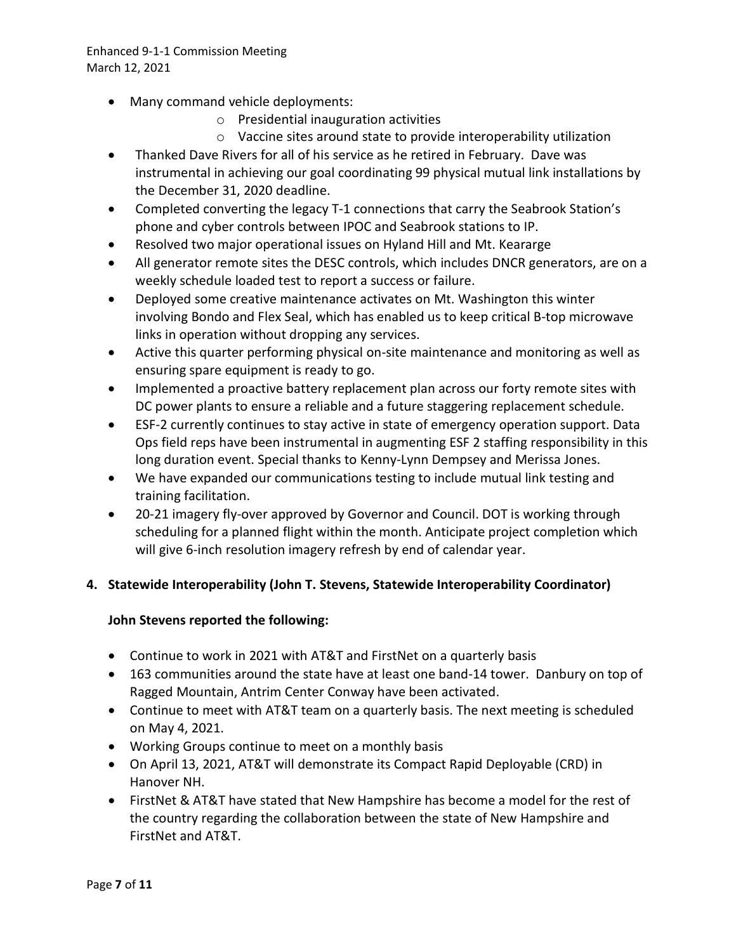- Many command vehicle deployments:
	- o Presidential inauguration activities
	- o Vaccine sites around state to provide interoperability utilization
- Thanked Dave Rivers for all of his service as he retired in February. Dave was instrumental in achieving our goal coordinating 99 physical mutual link installations by the December 31, 2020 deadline.
- Completed converting the legacy T-1 connections that carry the Seabrook Station's phone and cyber controls between IPOC and Seabrook stations to IP.
- Resolved two major operational issues on Hyland Hill and Mt. Keararge
- All generator remote sites the DESC controls, which includes DNCR generators, are on a weekly schedule loaded test to report a success or failure.
- Deployed some creative maintenance activates on Mt. Washington this winter involving Bondo and Flex Seal, which has enabled us to keep critical B-top microwave links in operation without dropping any services.
- Active this quarter performing physical on-site maintenance and monitoring as well as ensuring spare equipment is ready to go.
- Implemented a proactive battery replacement plan across our forty remote sites with DC power plants to ensure a reliable and a future staggering replacement schedule.
- ESF-2 currently continues to stay active in state of emergency operation support. Data Ops field reps have been instrumental in augmenting ESF 2 staffing responsibility in this long duration event. Special thanks to Kenny-Lynn Dempsey and Merissa Jones.
- We have expanded our communications testing to include mutual link testing and training facilitation.
- 20-21 imagery fly-over approved by Governor and Council. DOT is working through scheduling for a planned flight within the month. Anticipate project completion which will give 6-inch resolution imagery refresh by end of calendar year.

### **4. Statewide Interoperability (John T. Stevens, Statewide Interoperability Coordinator)**

### **John Stevens reported the following:**

- Continue to work in 2021 with AT&T and FirstNet on a quarterly basis
- 163 communities around the state have at least one band-14 tower. Danbury on top of Ragged Mountain, Antrim Center Conway have been activated.
- Continue to meet with AT&T team on a quarterly basis. The next meeting is scheduled on May 4, 2021.
- Working Groups continue to meet on a monthly basis
- On April 13, 2021, AT&T will demonstrate its Compact Rapid Deployable (CRD) in Hanover NH.
- FirstNet & AT&T have stated that New Hampshire has become a model for the rest of the country regarding the collaboration between the state of New Hampshire and FirstNet and AT&T.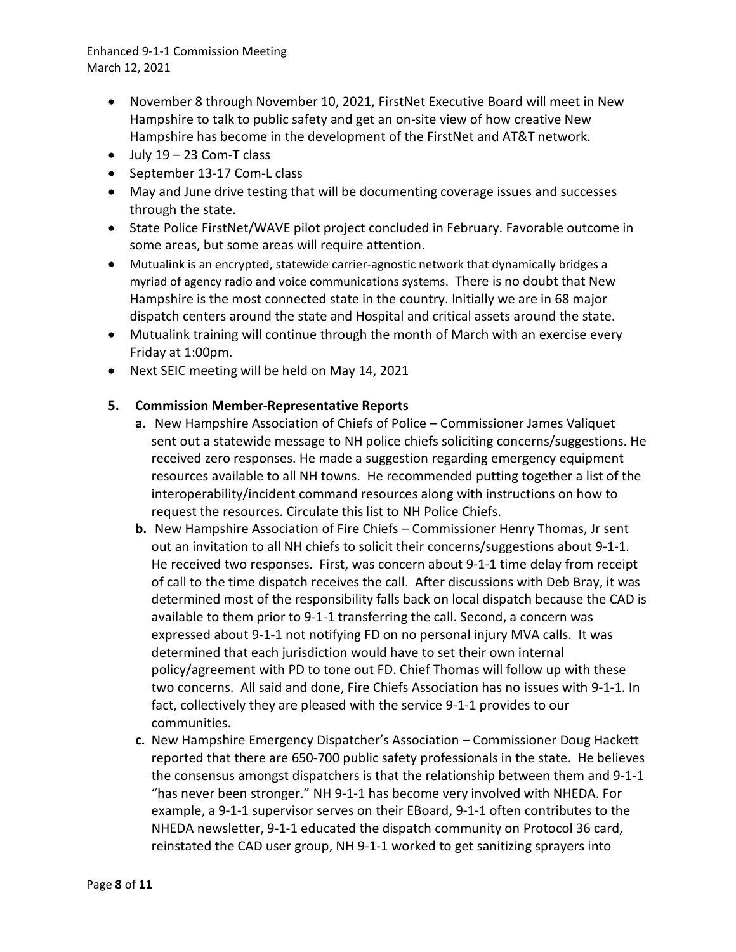- November 8 through November 10, 2021, FirstNet Executive Board will meet in New Hampshire to talk to public safety and get an on-site view of how creative New Hampshire has become in the development of the FirstNet and AT&T network.
- $\bullet$  July 19 23 Com-T class
- September 13-17 Com-L class
- May and June drive testing that will be documenting coverage issues and successes through the state.
- State Police FirstNet/WAVE pilot project concluded in February. Favorable outcome in some areas, but some areas will require attention.
- Mutualink is an encrypted, statewide carrier-agnostic network that dynamically bridges a myriad of agency radio and voice communications systems. There is no doubt that New Hampshire is the most connected state in the country. Initially we are in 68 major dispatch centers around the state and Hospital and critical assets around the state.
- Mutualink training will continue through the month of March with an exercise every Friday at 1:00pm.
- Next SEIC meeting will be held on May 14, 2021

### **5. Commission Member-Representative Reports**

- **a.** New Hampshire Association of Chiefs of Police Commissioner James Valiquet sent out a statewide message to NH police chiefs soliciting concerns/suggestions. He received zero responses. He made a suggestion regarding emergency equipment resources available to all NH towns. He recommended putting together a list of the interoperability/incident command resources along with instructions on how to request the resources. Circulate this list to NH Police Chiefs.
- **b.** New Hampshire Association of Fire Chiefs Commissioner Henry Thomas, Jr sent out an invitation to all NH chiefs to solicit their concerns/suggestions about 9-1-1. He received two responses. First, was concern about 9-1-1 time delay from receipt of call to the time dispatch receives the call. After discussions with Deb Bray, it was determined most of the responsibility falls back on local dispatch because the CAD is available to them prior to 9-1-1 transferring the call. Second, a concern was expressed about 9-1-1 not notifying FD on no personal injury MVA calls. It was determined that each jurisdiction would have to set their own internal policy/agreement with PD to tone out FD. Chief Thomas will follow up with these two concerns. All said and done, Fire Chiefs Association has no issues with 9-1-1. In fact, collectively they are pleased with the service 9-1-1 provides to our communities.
- **c.** New Hampshire Emergency Dispatcher's Association Commissioner Doug Hackett reported that there are 650-700 public safety professionals in the state. He believes the consensus amongst dispatchers is that the relationship between them and 9-1-1 "has never been stronger." NH 9-1-1 has become very involved with NHEDA. For example, a 9-1-1 supervisor serves on their EBoard, 9-1-1 often contributes to the NHEDA newsletter, 9-1-1 educated the dispatch community on Protocol 36 card, reinstated the CAD user group, NH 9-1-1 worked to get sanitizing sprayers into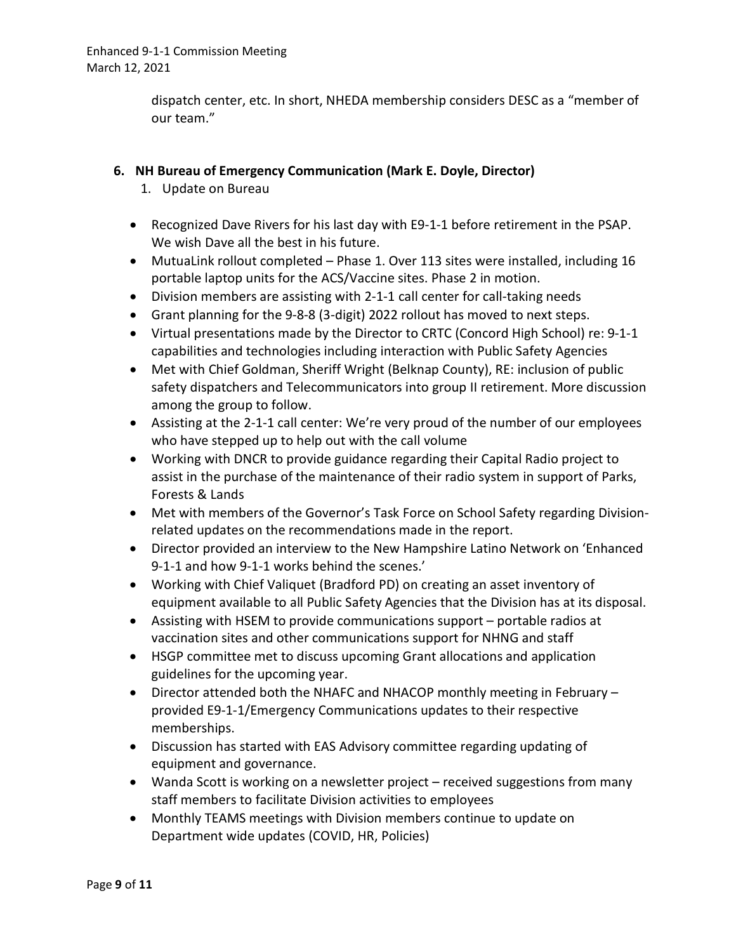dispatch center, etc. In short, NHEDA membership considers DESC as a "member of our team."

## **6. NH Bureau of Emergency Communication (Mark E. Doyle, Director)**

- 1. Update on Bureau
- Recognized Dave Rivers for his last day with E9-1-1 before retirement in the PSAP. We wish Dave all the best in his future.
- MutuaLink rollout completed Phase 1. Over 113 sites were installed, including 16 portable laptop units for the ACS/Vaccine sites. Phase 2 in motion.
- Division members are assisting with 2-1-1 call center for call-taking needs
- Grant planning for the 9-8-8 (3-digit) 2022 rollout has moved to next steps.
- Virtual presentations made by the Director to CRTC (Concord High School) re: 9-1-1 capabilities and technologies including interaction with Public Safety Agencies
- Met with Chief Goldman, Sheriff Wright (Belknap County), RE: inclusion of public safety dispatchers and Telecommunicators into group II retirement. More discussion among the group to follow.
- Assisting at the 2-1-1 call center: We're very proud of the number of our employees who have stepped up to help out with the call volume
- Working with DNCR to provide guidance regarding their Capital Radio project to assist in the purchase of the maintenance of their radio system in support of Parks, Forests & Lands
- Met with members of the Governor's Task Force on School Safety regarding Divisionrelated updates on the recommendations made in the report.
- Director provided an interview to the New Hampshire Latino Network on 'Enhanced 9-1-1 and how 9-1-1 works behind the scenes.'
- Working with Chief Valiquet (Bradford PD) on creating an asset inventory of equipment available to all Public Safety Agencies that the Division has at its disposal.
- Assisting with HSEM to provide communications support portable radios at vaccination sites and other communications support for NHNG and staff
- HSGP committee met to discuss upcoming Grant allocations and application guidelines for the upcoming year.
- Director attended both the NHAFC and NHACOP monthly meeting in February provided E9-1-1/Emergency Communications updates to their respective memberships.
- Discussion has started with EAS Advisory committee regarding updating of equipment and governance.
- Wanda Scott is working on a newsletter project received suggestions from many staff members to facilitate Division activities to employees
- Monthly TEAMS meetings with Division members continue to update on Department wide updates (COVID, HR, Policies)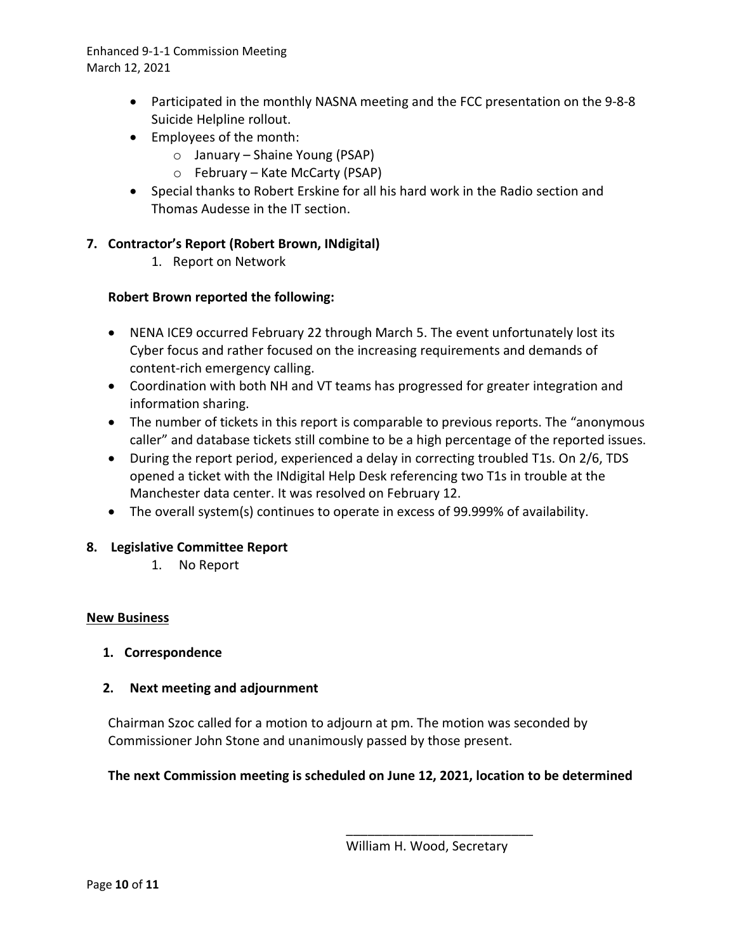- Participated in the monthly NASNA meeting and the FCC presentation on the 9-8-8 Suicide Helpline rollout.
- Employees of the month:
	- o January Shaine Young (PSAP)
	- o February Kate McCarty (PSAP)
- Special thanks to Robert Erskine for all his hard work in the Radio section and Thomas Audesse in the IT section.

# **7. Contractor's Report (Robert Brown, INdigital)**

1. Report on Network

# **Robert Brown reported the following:**

- NENA ICE9 occurred February 22 through March 5. The event unfortunately lost its Cyber focus and rather focused on the increasing requirements and demands of content-rich emergency calling.
- Coordination with both NH and VT teams has progressed for greater integration and information sharing.
- The number of tickets in this report is comparable to previous reports. The "anonymous caller" and database tickets still combine to be a high percentage of the reported issues.
- During the report period, experienced a delay in correcting troubled T1s. On 2/6, TDS opened a ticket with the INdigital Help Desk referencing two T1s in trouble at the Manchester data center. It was resolved on February 12.
- The overall system(s) continues to operate in excess of 99.999% of availability.

## **8. Legislative Committee Report**

1. No Report

## **New Business**

## **1. Correspondence**

## **2. Next meeting and adjournment**

Chairman Szoc called for a motion to adjourn at pm. The motion was seconded by Commissioner John Stone and unanimously passed by those present.

## **The next Commission meeting is scheduled on June 12, 2021, location to be determined**

\_\_\_\_\_\_\_\_\_\_\_\_\_\_\_\_\_\_\_\_\_\_\_\_\_\_